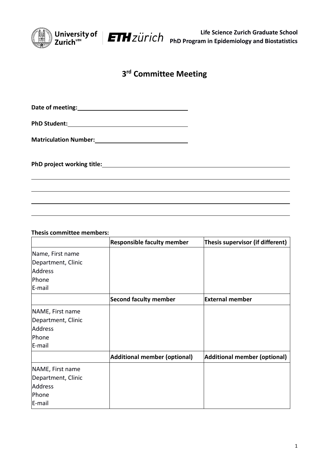

## **3 rd Committee Meeting**

**Date of meeting:**

**PhD Student:**

**Matriculation Number:**

**PhD project working title:**

**Thesis committee members:**

|                    | <b>Responsible faculty member</b> | Thesis supervisor (if different)    |
|--------------------|-----------------------------------|-------------------------------------|
| Name, First name   |                                   |                                     |
| Department, Clinic |                                   |                                     |
| Address            |                                   |                                     |
| Phone              |                                   |                                     |
| E-mail             |                                   |                                     |
|                    | <b>Second faculty member</b>      | <b>External member</b>              |
| NAME, First name   |                                   |                                     |
| Department, Clinic |                                   |                                     |
| <b>Address</b>     |                                   |                                     |
| Phone              |                                   |                                     |
| E-mail             |                                   |                                     |
|                    | Additional member (optional)      | <b>Additional member (optional)</b> |
| NAME, First name   |                                   |                                     |
| Department, Clinic |                                   |                                     |
| Address            |                                   |                                     |
| Phone              |                                   |                                     |
| E-mail             |                                   |                                     |